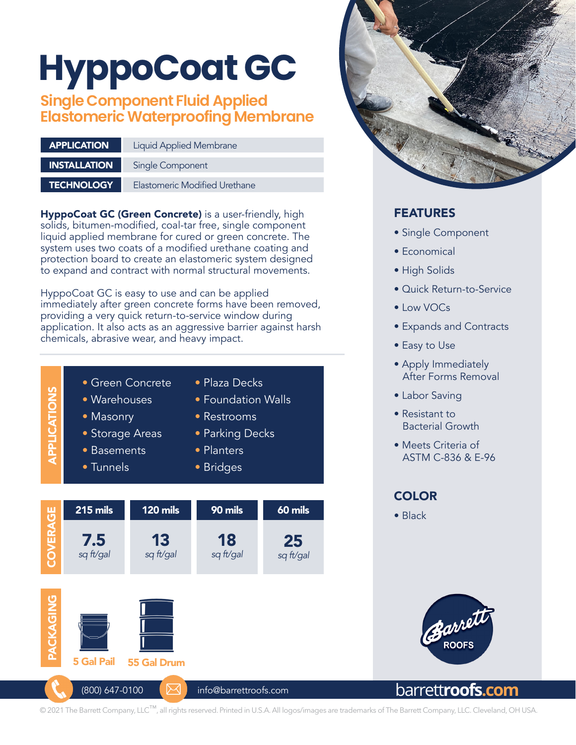# **HyppoCoat GC**

# **Single Component Fluid Applied Elastomeric Waterproofing Membrane**

| <b>APPLICATION</b>  | <b>Liquid Applied Membrane</b> |  |
|---------------------|--------------------------------|--|
| <b>INSTALLATION</b> | Single Component               |  |
| <b>TECHNOLOGY</b>   | Elastomeric Modified Urethane  |  |

HyppoCoat GC (Green Concrete) is a user-friendly, high solids, bitumen-modified, coal-tar free, single component liquid applied membrane for cured or green concrete. The system uses two coats of a modified urethane coating and protection board to create an elastomeric system designed to expand and contract with normal structural movements.

HyppoCoat GC is easy to use and can be applied immediately after green concrete forms have been removed, providing a very quick return-to-service window during application. It also acts as an aggressive barrier against harsh chemicals, abrasive wear, and heavy impact.

- Green Concrete • Warehouses • Masonry • Storage Areas • Plaza Decks • Restrooms APPLICATIONS
	- Basements
	- Tunnels

APPLICATIONS

- Foundation Walls
- Parking Decks
- Planters
- Bridges





# FEATURES

- Single Component
- Economical
- High Solids
- Quick Return-to-Service
- Low VOCs
- Expands and Contracts
- Easy to Use
- Apply Immediately After Forms Removal
- Labor Saving
- Resistant to Bacterial Growth
- Meets Criteria of ASTM C-836 & E-96

# **COLOR**

• Black



# barrett**roofs.com**

© 2021 The Barrett Company, LLC™, all rights reserved. Printed in U.S.A. All logos/images are trademarks of The Barrett Company, LLC. Cleveland, OH USA.